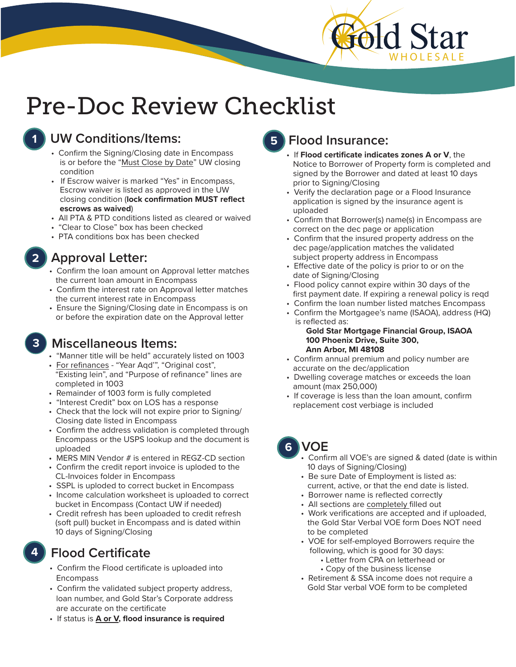

### **1 UW Conditions/Items:**

- Confirm the Signing/Closing date in Encompass is or before the "Must Close by Date" UW closing condition
- If Escrow waiver is marked "Yes" in Encompass, Escrow waiver is listed as approved in the UW closing condition (**lock confirmation MUST reflect escrows as waived**)
- All PTA & PTD conditions listed as cleared or waived
- "Clear to Close" box has been checked
- PTA conditions box has been checked

### **2 Approval Letter:**

- Confirm the loan amount on Approval letter matches the current loan amount in Encompass
- Confirm the interest rate on Approval letter matches the current interest rate in Encompass
- Ensure the Signing/Closing date in Encompass is on or before the expiration date on the Approval letter

### **3 Miscellaneous Items:**

- "Manner title will be held" accurately listed on 1003
- For refinances "Year Aqd'", "Original cost", "Existing lein", and "Purpose of refinance" lines are completed in 1003
- Remainder of 1003 form is fully completed
- "Interest Credit" box on LOS has a response
- Check that the lock will not expire prior to Signing/ Closing date listed in Encompass
- Confirm the address validation is completed through Encompass or the USPS lookup and the document is uploaded
- MERS MIN Vendor # is entered in REGZ-CD section
- Confirm the credit report invoice is uploded to the CL-Invoices folder in Encompass
- SSPL is uploded to correct bucket in Encompass
- Income calculation worksheet is uploaded to correct bucket in Encompass (Contact UW if needed)
- Credit refresh has been uploaded to credit refresh (soft pull) bucket in Encompass and is dated within 10 days of Signing/Closing

## **4 Flood Certificate**

- Confirm the Flood certificate is uploaded into Encompass
- Confirm the validated subject property address, loan number, and Gold Star's Corporate address are accurate on the certificate
- If status is **A or V, flood insurance is required**

## **5 Flood Insurance:**

- If **Flood certificate indicates zones A or V**, the Notice to Borrower of Property form is completed and signed by the Borrower and dated at least 10 days prior to Signing/Closing
- Verify the declaration page or a Flood Insurance application is signed by the insurance agent is uploaded
- Confirm that Borrower(s) name(s) in Encompass are correct on the dec page or application
- Confirm that the insured property address on the dec page/application matches the validated subject property address in Encompass
- Effective date of the policy is prior to or on the date of Signing/Closing
- Flood policy cannot expire within 30 days of the first payment date. If expiring a renewal policy is reqd
- Confirm the loan number listed matches Encompass
- Confirm the Mortgagee's name (ISAOA), address (HQ) is reflected as:

### **Gold Star Mortgage Financial Group, ISAOA 100 Phoenix Drive, Suite 300, Ann Arbor, MI 48108**

- Confirm annual premium and policy number are accurate on the dec/application
- Dwelling coverage matches or exceeds the loan amount (max 250,000)
- If coverage is less than the loan amount, confirm replacement cost verbiage is included

# **6 VOE**

- Confirm all VOE's are signed & dated (date is within 10 days of Signing/Closing)
- Be sure Date of Employment is listed as: current, active, or that the end date is listed.
- Borrower name is reflected correctly
- All sections are completely filled out
- Work verifications are accepted and if uploaded, the Gold Star Verbal VOE form Does NOT need to be completed
- VOE for self-employed Borrowers require the following, which is good for 30 days:
	- Letter from CPA on letterhead or
	- Copy of the business license
- Retirement & SSA income does not require a Gold Star verbal VOE form to be completed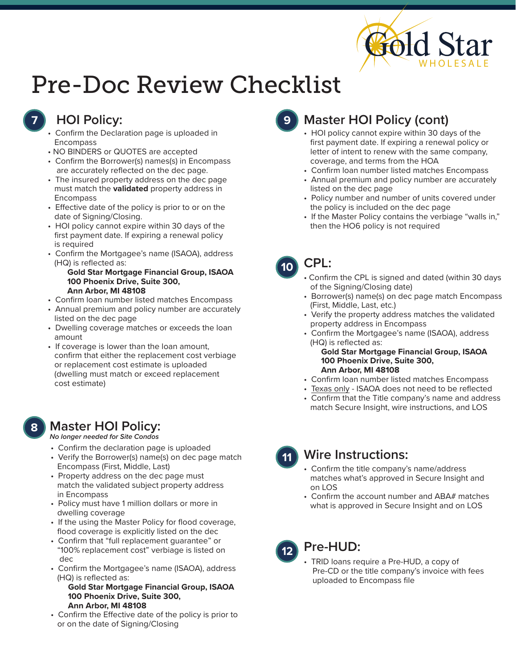

### **7 HOI Policy:**

- Confirm the Declaration page is uploaded in **Encompass**
- NO BINDERS or QUOTES are accepted
- Confirm the Borrower(s) names(s) in Encompass are accurately reflected on the dec page.
- The insured property address on the dec page must match the **validated** property address in Encompass
- Effective date of the policy is prior to or on the date of Signing/Closing.
- HOI policy cannot expire within 30 days of the first payment date. If expiring a renewal policy is required
- Confirm the Mortgagee's name (ISAOA), address (HQ) is reflected as:

### **Gold Star Mortgage Financial Group, ISAOA 100 Phoenix Drive, Suite 300, Ann Arbor, MI 48108**

- Confirm loan number listed matches Encompass
- Annual premium and policy number are accurately listed on the dec page
- Dwelling coverage matches or exceeds the loan amount
- If coverage is lower than the loan amount, confirm that either the replacement cost verbiage or replacement cost estimate is uploaded (dwelling must match or exceed replacement cost estimate)

### **8 Master HOI Policy:**

*No longer needed for Site Condos* 

- Confirm the declaration page is uploaded
- Verify the Borrower(s) name(s) on dec page match Encompass (First, Middle, Last)
- Property address on the dec page must match the validated subject property address in Encompass
- Policy must have 1 million dollars or more in dwelling coverage
- If the using the Master Policy for flood coverage, flood coverage is explicitly listed on the dec
- Confirm that "full replacement guarantee" or "100% replacement cost" verbiage is listed on dec
- Confirm the Mortgagee's name (ISAOA), address (HQ) is reflected as:

### **Gold Star Mortgage Financial Group, ISAOA 100 Phoenix Drive, Suite 300, Ann Arbor, MI 48108**

• Confirm the Effective date of the policy is prior to or on the date of Signing/Closing

## **9 Master HOI Policy (cont)**

- HOI policy cannot expire within 30 days of the first payment date. If expiring a renewal policy or letter of intent to renew with the same company, coverage, and terms from the HOA
- Confirm loan number listed matches Encompass
- Annual premium and policy number are accurately listed on the dec page
- Policy number and number of units covered under the policy is included on the dec page
- If the Master Policy contains the verbiage "walls in," then the HO6 policy is not required

### **10 CPL:**

- Confirm the CPL is signed and dated (within 30 days of the Signing/Closing date)
- Borrower(s) name(s) on dec page match Encompass (First, Middle, Last, etc.)
- Verify the property address matches the validated property address in Encompass
- Confirm the Mortgagee's name (ISAOA), address (HQ) is reflected as: **Gold Star Mortgage Financial Group, ISAOA 100 Phoenix Drive, Suite 300, Ann Arbor, MI 48108**
- Confirm loan number listed matches Encompass
- Texas only ISAOA does not need to be reflected
- Confirm that the Title company's name and address match Secure Insight, wire instructions, and LOS

## **11 Wire Instructions:**

- Confirm the title company's name/address matches what's approved in Secure Insight and on LOS
- Confirm the account number and ABA# matches what is approved in Secure Insight and on LOS

# **<sup>12</sup> Pre-HUD:**

• TRID loans require a Pre-HUD, a copy of Pre-CD or the title company's invoice with fees uploaded to Encompass file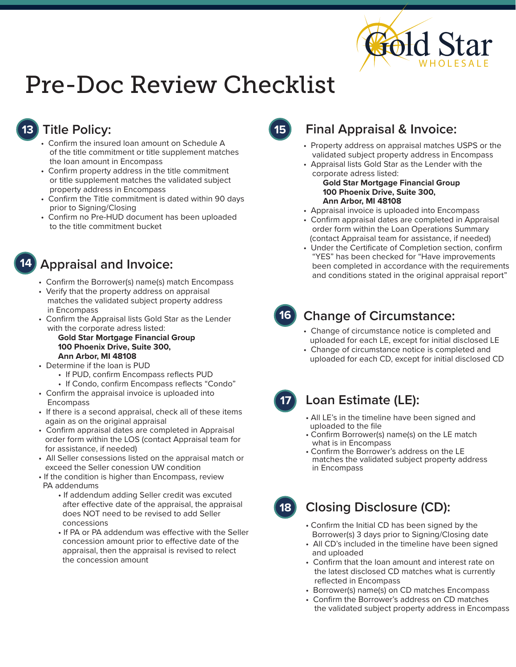

## **13 Title Policy:**

- Confirm the insured loan amount on Schedule A of the title commitment or title supplement matches the loan amount in Encompass
- Confirm property address in the title commitment or title supplement matches the validated subject property address in Encompass
- Confirm the Title commitment is dated within 90 days prior to Signing/Closing
- Confirm no Pre-HUD document has been uploaded to the title commitment bucket

### **14 Appraisal and Invoice:**

- Confirm the Borrower(s) name(s) match Encompass
- Verify that the property address on appraisal matches the validated subject property address in Encompass
- Confirm the Appraisal lists Gold Star as the Lender with the corporate adress listed:  **Gold Star Mortgage Financial Group**

### **100 Phoenix Drive, Suite 300, Ann Arbor, MI 48108**

- Determine if the loan is PUD
	- If PUD, confirm Encompass reflects PUD
	- If Condo, confirm Encompass reflects "Condo"
- Confirm the appraisal invoice is uploaded into Encompass
- If there is a second appraisal, check all of these items again as on the original appraisal
- Confirm appraisal dates are completed in Appraisal order form within the LOS (contact Appraisal team for for assistance, if needed)
- All Seller consessions listed on the appraisal match or exceed the Seller conession UW condition
- If the condition is higher than Encompass, review PA addendums
	- If addendum adding Seller credit was excuted after effective date of the appraisal, the appraisal does NOT need to be revised to add Seller concessions
	- If PA or PA addendum was effective with the Seller concession amount prior to effective date of the appraisal, then the appraisal is revised to relect the concession amount

### **15 Final Appraisal & Invoice:**

- Property address on appraisal matches USPS or the validated subject property address in Encompass
- Appraisal lists Gold Star as the Lender with the corporate adress listed:  **Gold Star Mortgage Financial Group 100 Phoenix Drive, Suite 300, Ann Arbor, MI 48108**
- Appraisal invoice is uploaded into Encompass
- Confirm appraisal dates are completed in Appraisal order form within the Loan Operations Summary (contact Appraisal team for assistance, if needed)
- Under the Certificate of Completion section, confirm "YES" has been checked for "Have improvements been completed in accordance with the requirements and conditions stated in the original appraisal report"

### **16**

### **Change of Circumstance:**

- Change of circumstance notice is completed and uploaded for each LE, except for initial disclosed LE
- Change of circumstance notice is completed and uploaded for each CD, except for initial disclosed CD



### **Loan Estimate (LE):**

- All LE's in the timeline have been signed and uploaded to the file
- Confirm Borrower(s) name(s) on the LE match what is in Encompass
- Confirm the Borrower's address on the LE matches the validated subject property address in Encompass
- **18 Closing Disclosure (CD):**
	- Confirm the Initial CD has been signed by the Borrower(s) 3 days prior to Signing/Closing date
	- All CD's included in the timeline have been signed and uploaded
	- Confirm that the loan amount and interest rate on the latest disclosed CD matches what is currently reflected in Encompass
	- Borrower(s) name(s) on CD matches Encompass
	- Confirm the Borrower's address on CD matches the validated subject property address in Encompass